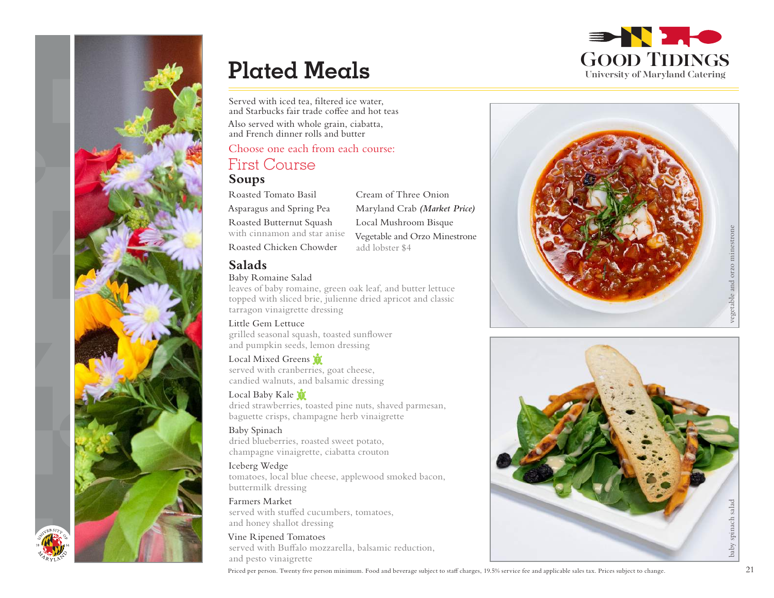

Served with iced tea, filtered ice water, and Starbucks fair trade coffee and hot teas Also served with whole grain, ciabatta, and French dinner rolls and butter

## Choose one each from each course:

## First Course

## **Soups**

Roasted Tomato Basil Asparagus and Spring Pea Roasted Butternut Squash with cinnamon and star anise Roasted Chicken Chowder

**Salads**

## Baby Romaine Salad

leaves of baby romaine, green oak leaf, and butter lettuce topped with sliced brie, julienne dried apricot and classic tarragon vinaigrette dressing

Little Gem Lettuce grilled seasonal squash, toasted sunflower and pumpkin seeds, lemon dressing

Local Mixed Greens served with cranberries, goat cheese, candied walnuts, and balsamic dressing

Local Baby Kale dried strawberries, toasted pine nuts, shaved parmesan, baguette crisps, champagne herb vinaigrette

Baby Spinach dried blueberries, roasted sweet potato, champagne vinaigrette, ciabatta crouton

Iceberg Wedge tomatoes, local blue cheese, applewood smoked bacon, buttermilk dressing

Farmers Market served with stuffed cucumbers, tomatoes, and honey shallot dressing

Vine Ripened Tomatoes served with Buffalo mozzarella, balsamic reduction, and pesto vinaigrette

Cream of Three Onion Maryland Crab *(Market Price)* Local Mushroom Bisque Vegetable and Orzo Minestrone add lobster \$4



GOOD TIDINGS University of Maryland Catering

**BAN 240** 



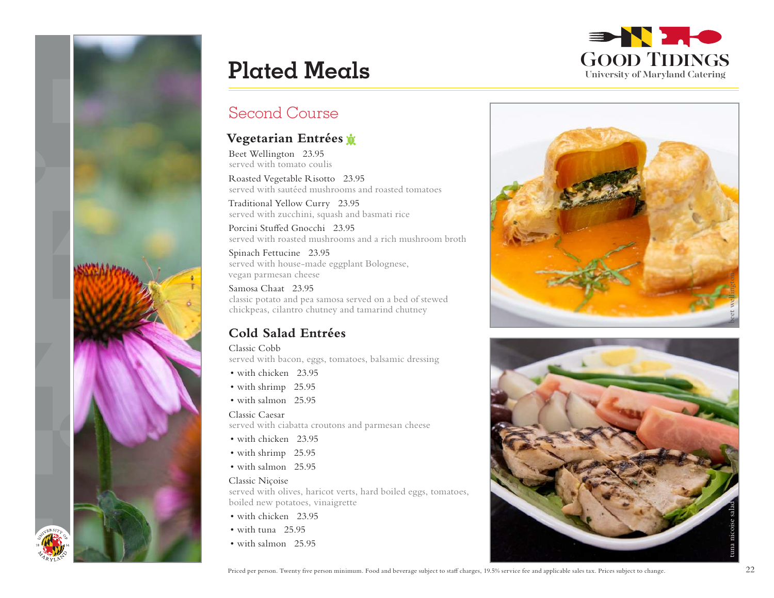



## Second Course

## **Vegetarian Entrées**

Beet Wellington 23.95 served with tomato coulis

Roasted Vegetable Risotto 23.95 served with sautéed mushrooms and roasted tomatoes

Traditional Yellow Curry 23.95 served with zucchini, squash and basmati rice

Porcini Stuffed Gnocchi 23.95 served with roasted mushrooms and a rich mushroom broth

Spinach Fettucine 23.95 served with house-made eggplant Bolognese, vegan parmesan cheese

Samosa Chaat 23.95 classic potato and pea samosa served on a bed of stewed chickpeas, cilantro chutney and tamarind chutney

## **Cold Salad Entrées**

Classic Cobb served with bacon, eggs, tomatoes, balsamic dressing

- with chicken 23.95
- with shrimp 25.95
- with salmon 25.95

## Classic Caesar

served with ciabatta croutons and parmesan cheese

- with chicken 23.95
- with shrimp 25.95
- with salmon 25.95

## Classic Niçoise

served with olives, haricot verts, hard boiled eggs, tomatoes, boiled new potatoes, vinaigrette

- with chicken 23.95
- with tuna 25.95
- with salmon 25.95



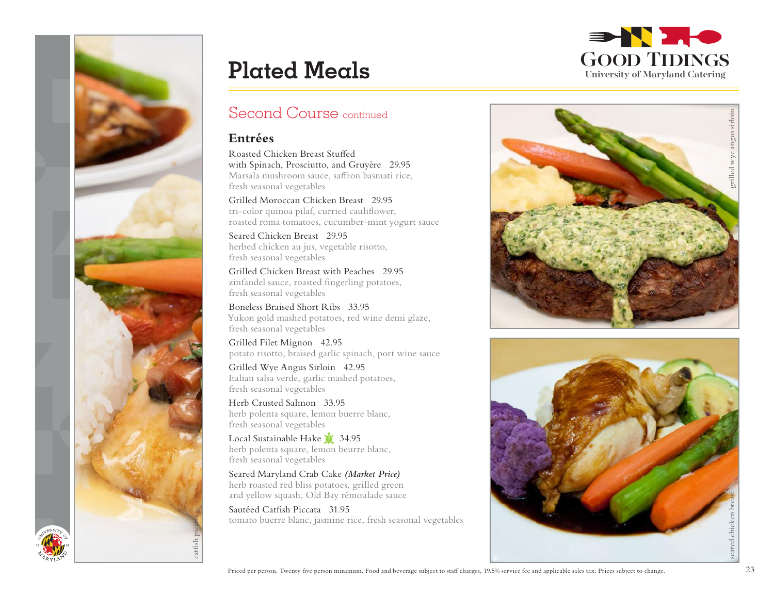

## Second Course continued

## **Entrées**

Roasted Chicken Breast Stuffed with Spinach, Prosciutto, and Gruyère 29.95 Marsala mushroom sauce, saffron basmati rice, fresh seasonal vegetables

Grilled Moroccan Chicken Breast 29.95 tri-color quinoa pilaf, curried cauliflower, roasted roma tomatoes, cucumber-mint yogurt sauce

Seared Chicken Breast 29.95 herbed chicken au jus, vegetable risotto, fresh seasonal vegetables

Grilled Chicken Breast with Peaches 29.95 zinfandel sauce, roasted fingerling potatoes, fresh seasonal vegetables

Boneless Braised Short Ribs 33.95 Yukon gold mashed potatoes, red wine demi glaze, fresh seasonal vegetables

Grilled Filet Mignon 42.95 potato risotto, braised garlic spinach, port wine sauce

Grilled Wye Angus Sirloin 42.95 Italian salsa verde, garlic mashed potatoes, fresh seasonal vegetables

Herb Crusted Salmon 33.95 herb polenta square, lemon buerre blanc, fresh seasonal vegetables

Local Sustainable Hake 34.95 herb polenta square, lemon beurre blanc, fresh seasonal vegetables

Seared Maryland Crab Cake *(Market Price)* herb roasted red bliss potatoes, grilled green and yellow squash, Old Bay rémoulade sauce

Sautéed Catfish Piccata 31.95 tomato buerre blanc, jasmine rice, fresh seasonal vegetables